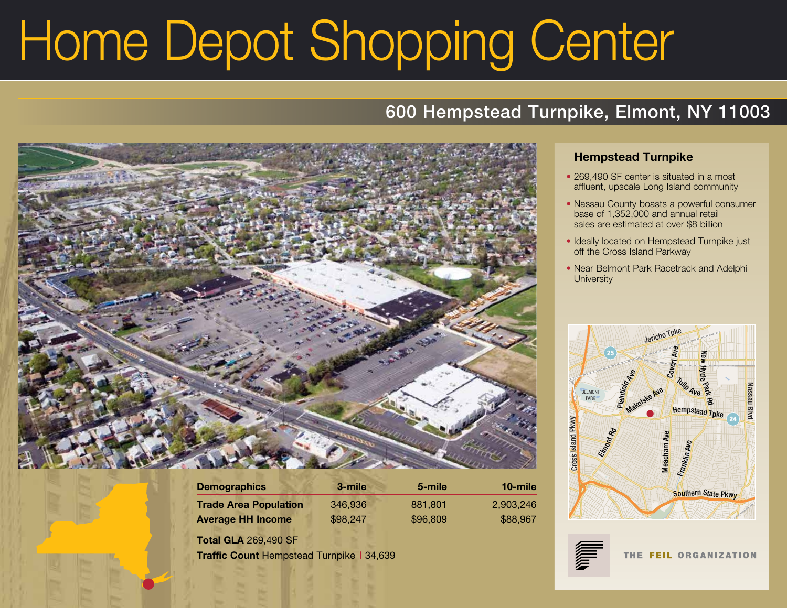# Home Depot Shopping Center

# 600 Hempstead Turnpike, Elmont, NY 11003



| <b>Demographics</b>          | 3-mile   | 5-mile   | 10-mile   |
|------------------------------|----------|----------|-----------|
| <b>Trade Area Population</b> | 346,936  | 881.801  | 2.903.246 |
| <b>Average HH Income</b>     | \$98,247 | \$96,809 | \$88,967  |

**Total GLA** 269,490 SF **Traffic Count** Hempstead Turnpike | 34,639

### **Hempstead Turnpike**

- 269,490 SF center is situated in a most affluent, upscale Long Island community
- Nassau County boasts a powerful consumer base of 1,352,000 and annual retail sales are estimated at over \$8 billion
- Ideally located on Hempstead Turnpike just off the Cross Island Parkway
- Near Belmont Park Racetrack and Adelphi **University**